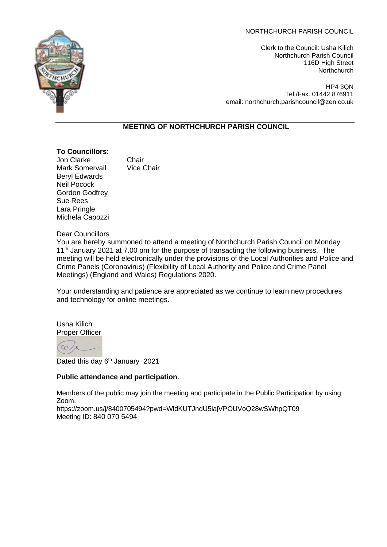Clerk to the Council: Usha Kilich Northchurch Parish Council 116D High Street **Northchurch** 

HP4 3QN Tel./Fax. 01442 876911 email: northchurch.parishcouncil@zen.co.uk

# **MEETING OF NORTHCHURCH PARISH COUNCIL**

#### **To Councillors:**

**Jon Clarke** Chair<br>Mark Somervail Vice Chair Mark Somervail Beryl Edwards Neil Pocock Gordon Godfrey Sue Rees Lara Pringle Michela Capozzi

Dear Councillors

You are hereby summoned to attend a meeting of Northchurch Parish Council on Monday 11<sup>th</sup> January 2021 at 7.00 pm for the purpose of transacting the following business. The meeting will be held electronically under the provisions of the Local Authorities and Police and Crime Panels (Coronavirus) (Flexibility of Local Authority and Police and Crime Panel Meetings) (England and Wales) Regulations 2020.

Your understanding and patience are appreciated as we continue to learn new procedures and technology for online meetings.

Usha Kilich Proper Officer

 $\epsilon$ 

Dated this day 6<sup>th</sup> January 2021

# **Public attendance and participation**.

Members of the public may join the meeting and participate in the Public Participation by using Zoom.

<https://zoom.us/j/8400705494?pwd=WldKUTJndU5iajVPOUVoQ28wSWhpQT09> Meeting ID: 840 070 5494